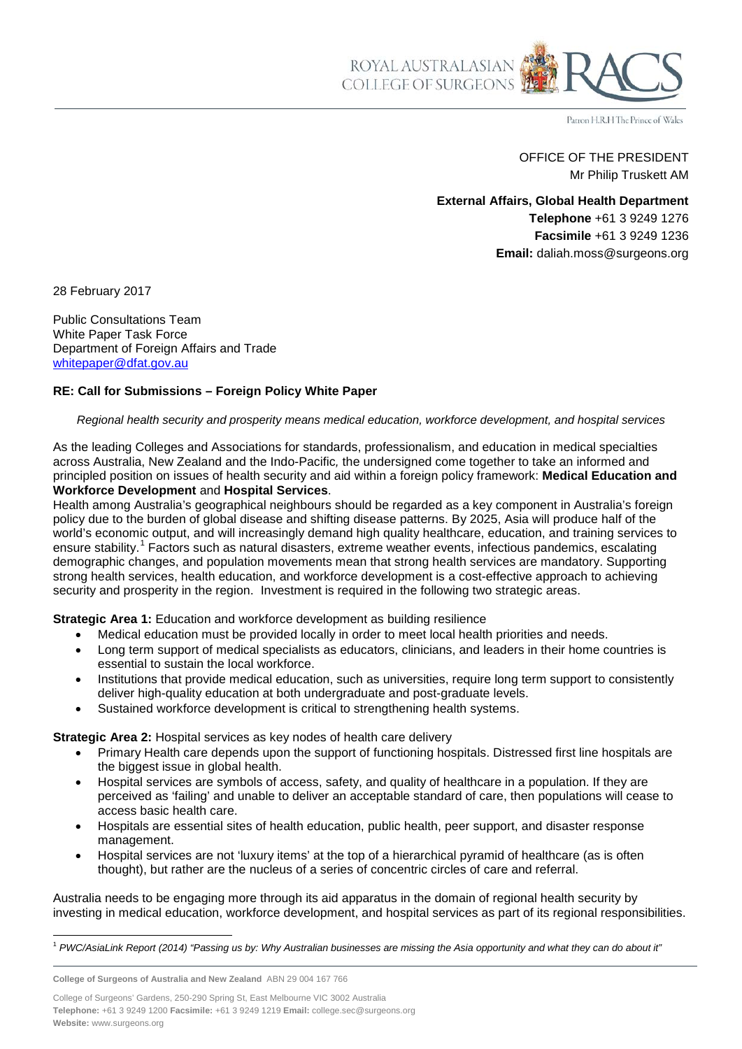ROYAL AUSTRALASIAN<br>COLLEGE OF SURGEONS

Patron H.R.H The Prince of Wales

OFFICE OF THE PRESIDENT Mr Philip Truskett AM

**External Affairs, Global Health Department Telephone** +61 3 9249 1276 **Facsimile** +61 3 9249 1236 **Email:** daliah.moss@surgeons.org

28 February 2017

Public Consultations Team White Paper Task Force Department of Foreign Affairs and Trade [whitepaper@dfat.gov.au](mailto:whitepaper@dfat.gov.au)

## **RE: Call for Submissions – Foreign Policy White Paper**

*Regional health security and prosperity means medical education, workforce development, and hospital services*

As the leading Colleges and Associations for standards, professionalism, and education in medical specialties across Australia, New Zealand and the Indo-Pacific*,* the undersigned come together to take an informed and principled position on issues of health security and aid within a foreign policy framework: **Medical Education and Workforce Development** and **Hospital Services**.

Health among Australia's geographical neighbours should be regarded as a key component in Australia's foreign policy due to the burden of global disease and shifting disease patterns. By 2025, Asia will produce half of the world's economic output, and will increasingly demand high quality healthcare, education, and training services to ensure stability.<sup>[1](#page-0-0)</sup> Factors such as natural disasters, extreme weather events, infectious pandemics, escalating demographic changes, and population movements mean that strong health services are mandatory. Supporting strong health services, health education, and workforce development is a cost-effective approach to achieving security and prosperity in the region. Investment is required in the following two strategic areas.

**Strategic Area 1:** Education and workforce development as building resilience

- Medical education must be provided locally in order to meet local health priorities and needs.
- Long term support of medical specialists as educators, clinicians, and leaders in their home countries is essential to sustain the local workforce.
- Institutions that provide medical education, such as universities, require long term support to consistently deliver high-quality education at both undergraduate and post-graduate levels.
- Sustained workforce development is critical to strengthening health systems.

**Strategic Area 2:** Hospital services as key nodes of health care delivery

- Primary Health care depends upon the support of functioning hospitals. Distressed first line hospitals are the biggest issue in global health.
- Hospital services are symbols of access, safety, and quality of healthcare in a population. If they are perceived as 'failing' and unable to deliver an acceptable standard of care, then populations will cease to access basic health care.
- Hospitals are essential sites of health education, public health, peer support, and disaster response management.
- Hospital services are not 'luxury items' at the top of a hierarchical pyramid of healthcare (as is often thought), but rather are the nucleus of a series of concentric circles of care and referral.

Australia needs to be engaging more through its aid apparatus in the domain of regional health security by investing in medical education, workforce development, and hospital services as part of its regional responsibilities.

**College of Surgeons of Australia and New Zealand** ABN 29 004 167 766

College of Surgeons' Gardens, 250-290 Spring St, East Melbourne VIC 3002 Australia **Telephone:** +61 3 9249 1200 **Facsimile:** +61 3 9249 1219 **Email:** college.sec@surgeons.org **Website:** www.surgeons.org

<span id="page-0-0"></span> $\overline{a}$ <sup>1</sup> *PWC/AsiaLink Report (2014) "Passing us by: Why Australian businesses are missing the Asia opportunity and what they can do about it"*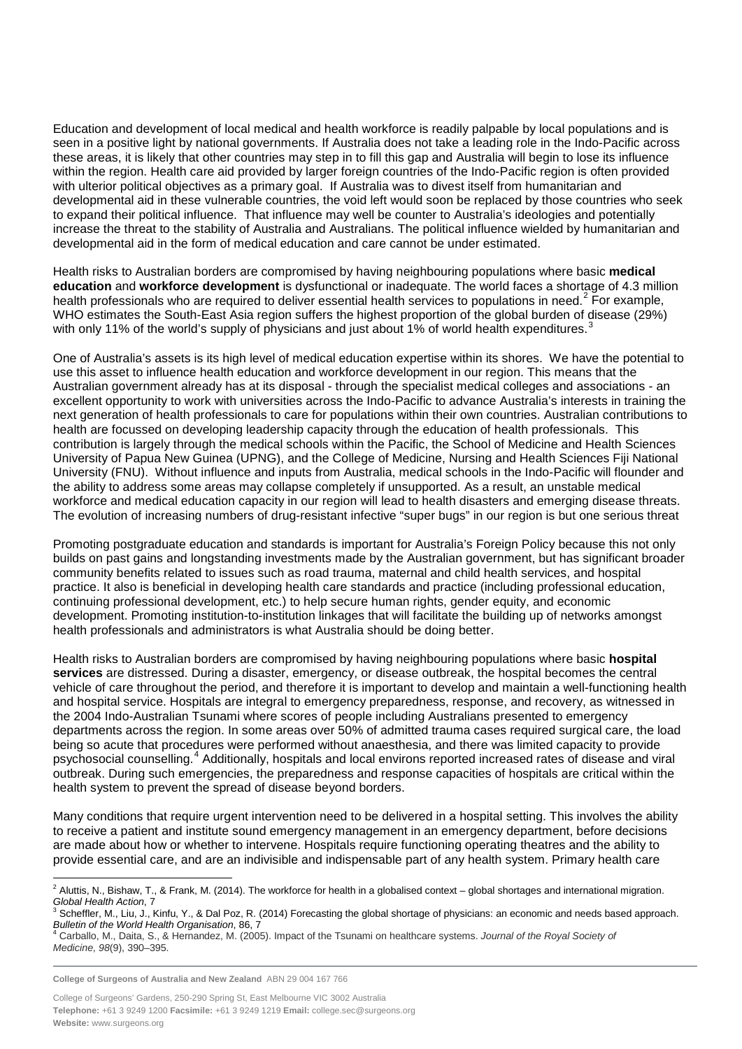Education and development of local medical and health workforce is readily palpable by local populations and is seen in a positive light by national governments. If Australia does not take a leading role in the Indo-Pacific across these areas, it is likely that other countries may step in to fill this gap and Australia will begin to lose its influence within the region. Health care aid provided by larger foreign countries of the Indo-Pacific region is often provided with ulterior political objectives as a primary goal. If Australia was to divest itself from humanitarian and developmental aid in these vulnerable countries, the void left would soon be replaced by those countries who seek to expand their political influence. That influence may well be counter to Australia's ideologies and potentially increase the threat to the stability of Australia and Australians. The political influence wielded by humanitarian and developmental aid in the form of medical education and care cannot be under estimated.

Health risks to Australian borders are compromised by having neighbouring populations where basic **medical education** and **workforce development** is dysfunctional or inadequate. The world faces a shortage of 4.3 million health professionals who are required to deliver essential health services to populations in need.<sup>[2](#page-1-0)</sup> For example, WHO estimates the South-East Asia region suffers the highest proportion of the global burden of disease (29%) with only 11% of the world's supply of physicians and just about 1% of world health expenditures.

One of Australia's assets is its high level of medical education expertise within its shores. We have the potential to use this asset to influence health education and workforce development in our region. This means that the Australian government already has at its disposal - through the specialist medical colleges and associations - an excellent opportunity to work with universities across the Indo-Pacific to advance Australia's interests in training the next generation of health professionals to care for populations within their own countries. Australian contributions to health are focussed on developing leadership capacity through the education of health professionals. This contribution is largely through the medical schools within the Pacific, the School of Medicine and Health Sciences University of Papua New Guinea (UPNG), and the College of Medicine, Nursing and Health Sciences Fiji National University (FNU). Without influence and inputs from Australia, medical schools in the Indo-Pacific will flounder and the ability to address some areas may collapse completely if unsupported. As a result, an unstable medical workforce and medical education capacity in our region will lead to health disasters and emerging disease threats. The evolution of increasing numbers of drug-resistant infective "super bugs" in our region is but one serious threat

Promoting postgraduate education and standards is important for Australia's Foreign Policy because this not only builds on past gains and longstanding investments made by the Australian government, but has significant broader community benefits related to issues such as road trauma, maternal and child health services, and hospital practice. It also is beneficial in developing health care standards and practice (including professional education, continuing professional development, etc.) to help secure human rights, gender equity, and economic development. Promoting institution-to-institution linkages that will facilitate the building up of networks amongst health professionals and administrators is what Australia should be doing better.

Health risks to Australian borders are compromised by having neighbouring populations where basic **hospital services** are distressed. During a disaster, emergency, or disease outbreak, the hospital becomes the central vehicle of care throughout the period, and therefore it is important to develop and maintain a well-functioning health and hospital service. Hospitals are integral to emergency preparedness, response, and recovery, as witnessed in the 2004 Indo-Australian Tsunami where scores of people including Australians presented to emergency departments across the region. In some areas over 50% of admitted trauma cases required surgical care, the load being so acute that procedures were performed without anaesthesia, and there was limited capacity to provide psychosocial counselling.[4](#page-1-2) Additionally, hospitals and local environs reported increased rates of disease and viral outbreak. During such emergencies, the preparedness and response capacities of hospitals are critical within the health system to prevent the spread of disease beyond borders.

Many conditions that require urgent intervention need to be delivered in a hospital setting. This involves the ability to receive a patient and institute sound emergency management in an emergency department, before decisions are made about how or whether to intervene. Hospitals require functioning operating theatres and the ability to provide essential care, and are an indivisible and indispensable part of any health system. Primary health care

**College of Surgeons of Australia and New Zealand** ABN 29 004 167 766

 $\overline{a}$  $^2$  Aluttis, N., Bishaw, T., & Frank, M. (2014). The workforce for health in a globalised context – global shortages and international migration.

<span id="page-1-1"></span><span id="page-1-0"></span>Global Health Action, 7<br><sup>3</sup> Scheffler, M., Liu, J., Kinfu, Y., & Dal Poz, R. (2014) Forecasting the global shortage of physicians: an economic and needs based approach.<br>Bulletin of the World Health Organisation, 86, 7

<span id="page-1-2"></span>*Bulletin of the World Health Organisation*, 86, 7 <sup>4</sup> Carballo, M., Daita, S., & Hernandez, M. (2005). Impact of the Tsunami on healthcare systems. *Journal of the Royal Society of Medicine*, *98*(9), 390–395.